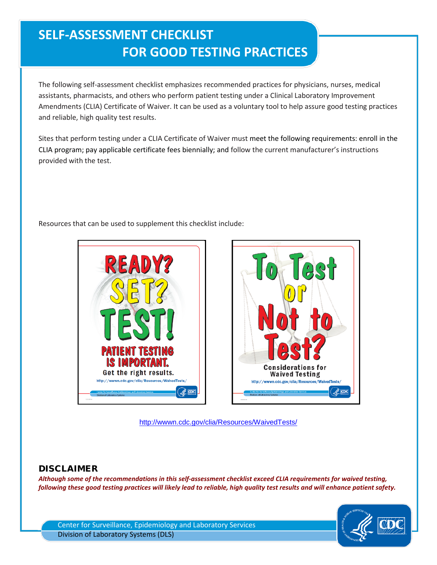## **SELF-ASSESSMENT CHECKLIST FOR GOOD TESTING PRACTICES**

The following self-assessment checklist emphasizes recommended practices for physicians, nurses, medical assistants, pharmacists, and others who perform patient testing under a Clinical Laboratory Improvement Amendments (CLIA) Certificate of Waiver. It can be used as a voluntary tool to help assure good testing practices and reliable, high quality test results.

Sites that perform testing under a CLIA Certificate of Waiver must meet the following requirements: enroll in the CLIA program; pay applicable certificate fees biennially; and follow the current manufacturer's instructions provided with the test.

Resources that can be used to supplement this checklist include:





<http://wwwn.cdc.gov/clia/Resources/WaivedTests/>

## DISCLAIMER

*Although some of the recommendations in this self-assessment checklist exceed CLIA requirements for waived testing, following these good testing practices will likely lead to reliable, high quality test results and will enhance patient safety.*

Center for Surveillance, Epidemiology and Laboratory Services Division of Laboratory Systems (DLS)

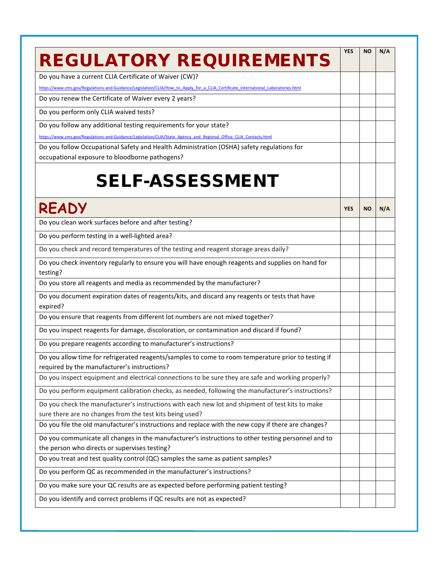| <b>REGULATORY REQUIREMENTS</b>                                                                                                                              | <b>YES</b> | <b>NO</b> | N/A |
|-------------------------------------------------------------------------------------------------------------------------------------------------------------|------------|-----------|-----|
| Do you have a current CLIA Certificate of Waiver (CW)?                                                                                                      |            |           |     |
| https://www.cms.gov/Regulations-and-Guidance/Legislation/CLIA/How to Apply for a CLIA Certificate International Laboratories.html                           |            |           |     |
| Do you renew the Certificate of Waiver every 2 years?                                                                                                       |            |           |     |
| Do you perform only CLIA waived tests?                                                                                                                      |            |           |     |
| Do you follow any additional testing requirements for your state?                                                                                           |            |           |     |
| https://www.cms.gov/Regulations-and-Guidance/Legislation/CLIA/State Agency and Regional Office CLIA Contacts.html                                           |            |           |     |
| Do you follow Occupational Safety and Health Administration (OSHA) safety regulations for                                                                   |            |           |     |
| occupational exposure to bloodborne pathogens?                                                                                                              |            |           |     |
| <b>SELF-ASSESSMENT</b>                                                                                                                                      |            |           |     |
| <b>READY</b>                                                                                                                                                | <b>YES</b> | <b>NO</b> | N/A |
| Do you clean work surfaces before and after testing?                                                                                                        |            |           |     |
| Do you perform testing in a well-lighted area?                                                                                                              |            |           |     |
| Do you check and record temperatures of the testing and reagent storage areas daily?                                                                        |            |           |     |
| Do you check inventory regularly to ensure you will have enough reagents and supplies on hand for                                                           |            |           |     |
| testing?                                                                                                                                                    |            |           |     |
| Do you store all reagents and media as recommended by the manufacturer?                                                                                     |            |           |     |
| Do you document expiration dates of reagents/kits, and discard any reagents or tests that have<br>expired?                                                  |            |           |     |
| Do you ensure that reagents from different lot numbers are not mixed together?                                                                              |            |           |     |
| Do you inspect reagents for damage, discoloration, or contamination and discard if found?                                                                   |            |           |     |
| Do you prepare reagents according to manufacturer's instructions?                                                                                           |            |           |     |
| Do you allow time for refrigerated reagents/samples to come to room temperature prior to testing if<br>required by the manufacturer's instructions?         |            |           |     |
| Do you inspect equipment and electrical connections to be sure they are safe and working properly?                                                          |            |           |     |
| Do you perform equipment calibration checks, as needed, following the manufacturer's instructions?                                                          |            |           |     |
| Do you check the manufacturer's instructions with each new lot and shipment of test kits to make                                                            |            |           |     |
| sure there are no changes from the test kits being used?                                                                                                    |            |           |     |
| Do you file the old manufacturer's instructions and replace with the new copy if there are changes?                                                         |            |           |     |
| Do you communicate all changes in the manufacturer's instructions to other testing personnel and to                                                         |            |           |     |
| the person who directs or supervises testing?                                                                                                               |            |           |     |
| Do you treat and test quality control (QC) samples the same as patient samples?                                                                             |            |           |     |
|                                                                                                                                                             |            |           |     |
|                                                                                                                                                             |            |           |     |
| Do you perform QC as recommended in the manufacturer's instructions?<br>Do you make sure your QC results are as expected before performing patient testing? |            |           |     |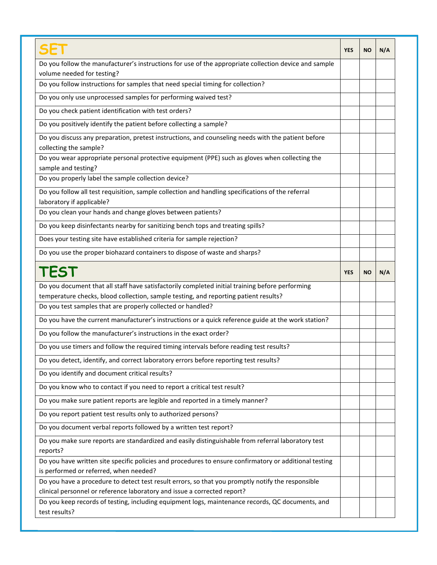| Do you follow the manufacturer's instructions for use of the appropriate collection device and sample<br>volume needed for testing?<br>Do you follow instructions for samples that need special timing for collection?<br>Do you only use unprocessed samples for performing waived test?<br>Do you check patient identification with test orders?<br>Do you positively identify the patient before collecting a sample?<br>Do you discuss any preparation, pretest instructions, and counseling needs with the patient before<br>collecting the sample?<br>Do you wear appropriate personal protective equipment (PPE) such as gloves when collecting the<br>sample and testing?<br>Do you properly label the sample collection device?<br>Do you follow all test requisition, sample collection and handling specifications of the referral<br>laboratory if applicable?<br>Do you clean your hands and change gloves between patients?<br>Do you keep disinfectants nearby for sanitizing bench tops and treating spills?<br>Does your testing site have established criteria for sample rejection?<br>Do you use the proper biohazard containers to dispose of waste and sharps?<br>TEST<br>Do you document that all staff have satisfactorily completed initial training before performing<br>temperature checks, blood collection, sample testing, and reporting patient results?<br>Do you test samples that are properly collected or handled? | <b>YES</b> | <b>NO</b> | N/A |
|--------------------------------------------------------------------------------------------------------------------------------------------------------------------------------------------------------------------------------------------------------------------------------------------------------------------------------------------------------------------------------------------------------------------------------------------------------------------------------------------------------------------------------------------------------------------------------------------------------------------------------------------------------------------------------------------------------------------------------------------------------------------------------------------------------------------------------------------------------------------------------------------------------------------------------------------------------------------------------------------------------------------------------------------------------------------------------------------------------------------------------------------------------------------------------------------------------------------------------------------------------------------------------------------------------------------------------------------------------------------------------------------------------------------------------------------------------|------------|-----------|-----|
|                                                                                                                                                                                                                                                                                                                                                                                                                                                                                                                                                                                                                                                                                                                                                                                                                                                                                                                                                                                                                                                                                                                                                                                                                                                                                                                                                                                                                                                        |            |           |     |
|                                                                                                                                                                                                                                                                                                                                                                                                                                                                                                                                                                                                                                                                                                                                                                                                                                                                                                                                                                                                                                                                                                                                                                                                                                                                                                                                                                                                                                                        |            |           |     |
|                                                                                                                                                                                                                                                                                                                                                                                                                                                                                                                                                                                                                                                                                                                                                                                                                                                                                                                                                                                                                                                                                                                                                                                                                                                                                                                                                                                                                                                        |            |           |     |
|                                                                                                                                                                                                                                                                                                                                                                                                                                                                                                                                                                                                                                                                                                                                                                                                                                                                                                                                                                                                                                                                                                                                                                                                                                                                                                                                                                                                                                                        |            |           |     |
|                                                                                                                                                                                                                                                                                                                                                                                                                                                                                                                                                                                                                                                                                                                                                                                                                                                                                                                                                                                                                                                                                                                                                                                                                                                                                                                                                                                                                                                        |            |           |     |
|                                                                                                                                                                                                                                                                                                                                                                                                                                                                                                                                                                                                                                                                                                                                                                                                                                                                                                                                                                                                                                                                                                                                                                                                                                                                                                                                                                                                                                                        |            |           |     |
|                                                                                                                                                                                                                                                                                                                                                                                                                                                                                                                                                                                                                                                                                                                                                                                                                                                                                                                                                                                                                                                                                                                                                                                                                                                                                                                                                                                                                                                        |            |           |     |
|                                                                                                                                                                                                                                                                                                                                                                                                                                                                                                                                                                                                                                                                                                                                                                                                                                                                                                                                                                                                                                                                                                                                                                                                                                                                                                                                                                                                                                                        |            |           |     |
|                                                                                                                                                                                                                                                                                                                                                                                                                                                                                                                                                                                                                                                                                                                                                                                                                                                                                                                                                                                                                                                                                                                                                                                                                                                                                                                                                                                                                                                        |            |           |     |
|                                                                                                                                                                                                                                                                                                                                                                                                                                                                                                                                                                                                                                                                                                                                                                                                                                                                                                                                                                                                                                                                                                                                                                                                                                                                                                                                                                                                                                                        |            |           |     |
|                                                                                                                                                                                                                                                                                                                                                                                                                                                                                                                                                                                                                                                                                                                                                                                                                                                                                                                                                                                                                                                                                                                                                                                                                                                                                                                                                                                                                                                        |            |           |     |
|                                                                                                                                                                                                                                                                                                                                                                                                                                                                                                                                                                                                                                                                                                                                                                                                                                                                                                                                                                                                                                                                                                                                                                                                                                                                                                                                                                                                                                                        |            |           |     |
|                                                                                                                                                                                                                                                                                                                                                                                                                                                                                                                                                                                                                                                                                                                                                                                                                                                                                                                                                                                                                                                                                                                                                                                                                                                                                                                                                                                                                                                        |            |           |     |
|                                                                                                                                                                                                                                                                                                                                                                                                                                                                                                                                                                                                                                                                                                                                                                                                                                                                                                                                                                                                                                                                                                                                                                                                                                                                                                                                                                                                                                                        |            |           |     |
|                                                                                                                                                                                                                                                                                                                                                                                                                                                                                                                                                                                                                                                                                                                                                                                                                                                                                                                                                                                                                                                                                                                                                                                                                                                                                                                                                                                                                                                        |            |           |     |
|                                                                                                                                                                                                                                                                                                                                                                                                                                                                                                                                                                                                                                                                                                                                                                                                                                                                                                                                                                                                                                                                                                                                                                                                                                                                                                                                                                                                                                                        |            |           |     |
|                                                                                                                                                                                                                                                                                                                                                                                                                                                                                                                                                                                                                                                                                                                                                                                                                                                                                                                                                                                                                                                                                                                                                                                                                                                                                                                                                                                                                                                        |            |           |     |
|                                                                                                                                                                                                                                                                                                                                                                                                                                                                                                                                                                                                                                                                                                                                                                                                                                                                                                                                                                                                                                                                                                                                                                                                                                                                                                                                                                                                                                                        |            |           |     |
| Do you have the current manufacturer's instructions or a quick reference guide at the work station?                                                                                                                                                                                                                                                                                                                                                                                                                                                                                                                                                                                                                                                                                                                                                                                                                                                                                                                                                                                                                                                                                                                                                                                                                                                                                                                                                    |            |           |     |
| Do you follow the manufacturer's instructions in the exact order?                                                                                                                                                                                                                                                                                                                                                                                                                                                                                                                                                                                                                                                                                                                                                                                                                                                                                                                                                                                                                                                                                                                                                                                                                                                                                                                                                                                      |            |           |     |
| Do you use timers and follow the required timing intervals before reading test results?                                                                                                                                                                                                                                                                                                                                                                                                                                                                                                                                                                                                                                                                                                                                                                                                                                                                                                                                                                                                                                                                                                                                                                                                                                                                                                                                                                |            |           |     |
| Do you detect, identify, and correct laboratory errors before reporting test results?                                                                                                                                                                                                                                                                                                                                                                                                                                                                                                                                                                                                                                                                                                                                                                                                                                                                                                                                                                                                                                                                                                                                                                                                                                                                                                                                                                  |            |           |     |
| Do you identify and document critical results?                                                                                                                                                                                                                                                                                                                                                                                                                                                                                                                                                                                                                                                                                                                                                                                                                                                                                                                                                                                                                                                                                                                                                                                                                                                                                                                                                                                                         |            |           |     |
| Do you know who to contact if you need to report a critical test result?                                                                                                                                                                                                                                                                                                                                                                                                                                                                                                                                                                                                                                                                                                                                                                                                                                                                                                                                                                                                                                                                                                                                                                                                                                                                                                                                                                               |            |           |     |
| Do you make sure patient reports are legible and reported in a timely manner?                                                                                                                                                                                                                                                                                                                                                                                                                                                                                                                                                                                                                                                                                                                                                                                                                                                                                                                                                                                                                                                                                                                                                                                                                                                                                                                                                                          |            |           |     |
| Do you report patient test results only to authorized persons?                                                                                                                                                                                                                                                                                                                                                                                                                                                                                                                                                                                                                                                                                                                                                                                                                                                                                                                                                                                                                                                                                                                                                                                                                                                                                                                                                                                         |            |           |     |
| Do you document verbal reports followed by a written test report?                                                                                                                                                                                                                                                                                                                                                                                                                                                                                                                                                                                                                                                                                                                                                                                                                                                                                                                                                                                                                                                                                                                                                                                                                                                                                                                                                                                      |            |           |     |
| Do you make sure reports are standardized and easily distinguishable from referral laboratory test<br>reports?                                                                                                                                                                                                                                                                                                                                                                                                                                                                                                                                                                                                                                                                                                                                                                                                                                                                                                                                                                                                                                                                                                                                                                                                                                                                                                                                         |            |           |     |
| Do you have written site specific policies and procedures to ensure confirmatory or additional testing                                                                                                                                                                                                                                                                                                                                                                                                                                                                                                                                                                                                                                                                                                                                                                                                                                                                                                                                                                                                                                                                                                                                                                                                                                                                                                                                                 |            |           |     |
| is performed or referred, when needed?                                                                                                                                                                                                                                                                                                                                                                                                                                                                                                                                                                                                                                                                                                                                                                                                                                                                                                                                                                                                                                                                                                                                                                                                                                                                                                                                                                                                                 |            |           |     |
| Do you have a procedure to detect test result errors, so that you promptly notify the responsible                                                                                                                                                                                                                                                                                                                                                                                                                                                                                                                                                                                                                                                                                                                                                                                                                                                                                                                                                                                                                                                                                                                                                                                                                                                                                                                                                      |            |           |     |
| clinical personnel or reference laboratory and issue a corrected report?                                                                                                                                                                                                                                                                                                                                                                                                                                                                                                                                                                                                                                                                                                                                                                                                                                                                                                                                                                                                                                                                                                                                                                                                                                                                                                                                                                               |            |           |     |
| Do you keep records of testing, including equipment logs, maintenance records, QC documents, and<br>test results?                                                                                                                                                                                                                                                                                                                                                                                                                                                                                                                                                                                                                                                                                                                                                                                                                                                                                                                                                                                                                                                                                                                                                                                                                                                                                                                                      |            |           |     |